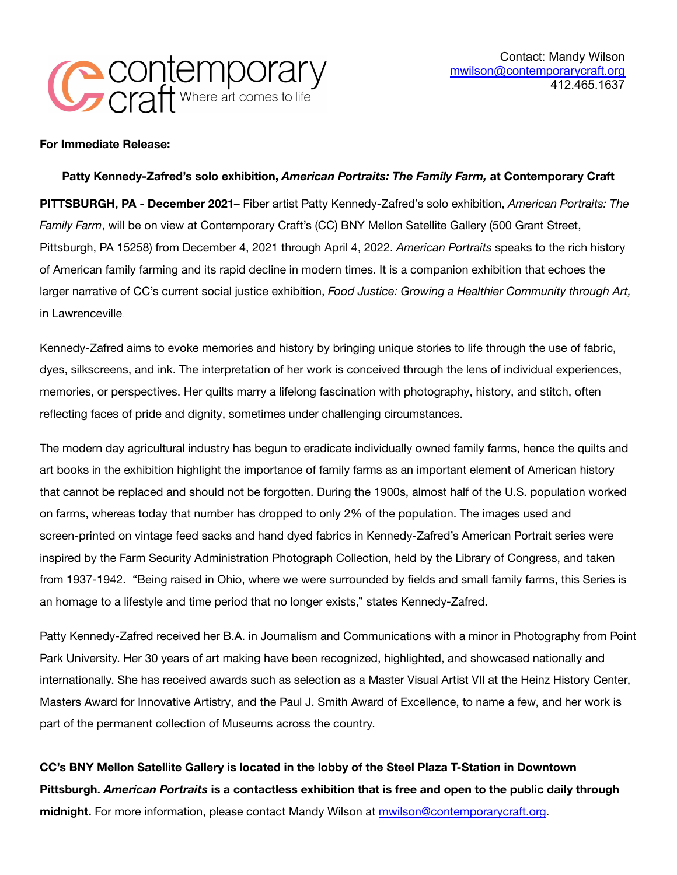

**For Immediate Release:**

## **Patty Kennedy-Zafred's solo exhibition,** *American Portraits: The Family Farm,* **at Contemporary Craft**

**PITTSBURGH, PA - December 2021**– Fiber artist Patty Kennedy-Zafred's solo exhibition, *American Portraits: The Family Farm*, will be on view at Contemporary Craft's (CC) BNY Mellon Satellite Gallery (500 Grant Street, Pittsburgh, PA 15258) from December 4, 2021 through April 4, 2022. *American Portraits* speaks to the rich history of American family farming and its rapid decline in modern times. It is a companion exhibition that echoes the larger narrative of CC's current social justice exhibition, *Food Justice: Growing a Healthier Community through Art,* in Lawrenceville.

Kennedy-Zafred aims to evoke memories and history by bringing unique stories to life through the use of fabric, dyes, silkscreens, and ink. The interpretation of her work is conceived through the lens of individual experiences, memories, or perspectives. Her quilts marry a lifelong fascination with photography, history, and stitch, often reflecting faces of pride and dignity, sometimes under challenging circumstances.

The modern day agricultural industry has begun to eradicate individually owned family farms, hence the quilts and art books in the exhibition highlight the importance of family farms as an important element of American history that cannot be replaced and should not be forgotten. During the 1900s, almost half of the U.S. population worked on farms, whereas today that number has dropped to only 2% of the population. The images used and screen-printed on vintage feed sacks and hand dyed fabrics in Kennedy-Zafred's American Portrait series were inspired by the Farm Security Administration Photograph Collection, held by the Library of Congress, and taken from 1937-1942. "Being raised in Ohio, where we were surrounded by fields and small family farms, this Series is an homage to a lifestyle and time period that no longer exists," states Kennedy-Zafred.

Patty Kennedy-Zafred received her B.A. in Journalism and Communications with a minor in Photography from Point Park University. Her 30 years of art making have been recognized, highlighted, and showcased nationally and internationally. She has received awards such as selection as a Master Visual Artist VII at the Heinz History Center, Masters Award for Innovative Artistry, and the Paul J. Smith Award of Excellence, to name a few, and her work is part of the permanent collection of Museums across the country.

**CC's BNY Mellon Satellite Gallery is located in the lobby of the Steel Plaza T-Station in Downtown Pittsburgh.** *American Portraits* **is a contactless exhibition that is free and open to the public daily through midnight.** For more information, please contact Mandy Wilson at [mwilson@contemporarycraft.org](mailto:ssun@contemporarycraft.org).